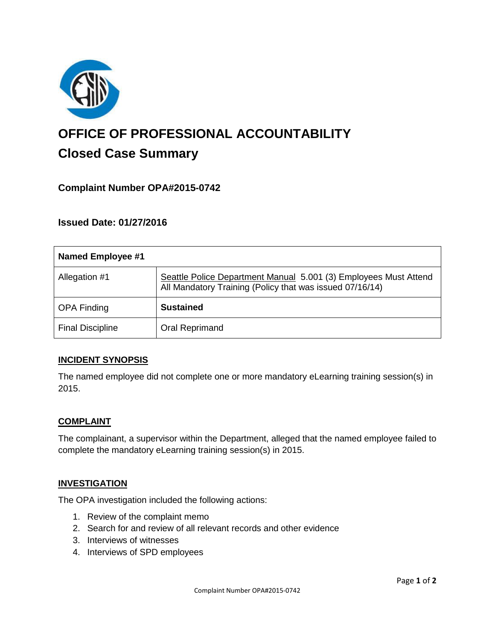

# **OFFICE OF PROFESSIONAL ACCOUNTABILITY Closed Case Summary**

# **Complaint Number OPA#2015-0742**

## **Issued Date: 01/27/2016**

| <b>Named Employee #1</b> |                                                                                                                              |
|--------------------------|------------------------------------------------------------------------------------------------------------------------------|
| Allegation #1            | Seattle Police Department Manual 5.001 (3) Employees Must Attend<br>All Mandatory Training (Policy that was issued 07/16/14) |
| <b>OPA Finding</b>       | <b>Sustained</b>                                                                                                             |
| <b>Final Discipline</b>  | Oral Reprimand                                                                                                               |

#### **INCIDENT SYNOPSIS**

The named employee did not complete one or more mandatory eLearning training session(s) in 2015.

#### **COMPLAINT**

The complainant, a supervisor within the Department, alleged that the named employee failed to complete the mandatory eLearning training session(s) in 2015.

#### **INVESTIGATION**

The OPA investigation included the following actions:

- 1. Review of the complaint memo
- 2. Search for and review of all relevant records and other evidence
- 3. Interviews of witnesses
- 4. Interviews of SPD employees